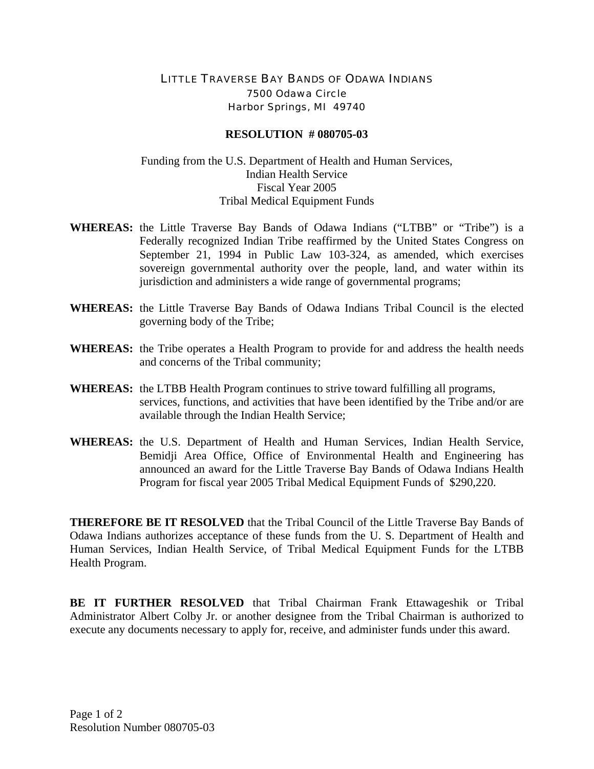## LITTLE TRAVERSE BAY BANDS OF ODAWA INDIANS 7500 Odawa Circle Harbor Springs, MI 49740

## **RESOLUTION # 080705-03**

## Funding from the U.S. Department of Health and Human Services, Indian Health Service Fiscal Year 2005 Tribal Medical Equipment Funds

- **WHEREAS:** the Little Traverse Bay Bands of Odawa Indians ("LTBB" or "Tribe") is a Federally recognized Indian Tribe reaffirmed by the United States Congress on September 21, 1994 in Public Law 103-324, as amended, which exercises sovereign governmental authority over the people, land, and water within its jurisdiction and administers a wide range of governmental programs;
- **WHEREAS:** the Little Traverse Bay Bands of Odawa Indians Tribal Council is the elected governing body of the Tribe;
- **WHEREAS:** the Tribe operates a Health Program to provide for and address the health needs and concerns of the Tribal community;
- **WHEREAS:** the LTBB Health Program continues to strive toward fulfilling all programs, services, functions, and activities that have been identified by the Tribe and/or are available through the Indian Health Service;
- **WHEREAS:** the U.S. Department of Health and Human Services, Indian Health Service, Bemidji Area Office, Office of Environmental Health and Engineering has announced an award for the Little Traverse Bay Bands of Odawa Indians Health Program for fiscal year 2005 Tribal Medical Equipment Funds of \$290,220.

**THEREFORE BE IT RESOLVED** that the Tribal Council of the Little Traverse Bay Bands of Odawa Indians authorizes acceptance of these funds from the U. S. Department of Health and Human Services, Indian Health Service, of Tribal Medical Equipment Funds for the LTBB Health Program.

**BE IT FURTHER RESOLVED** that Tribal Chairman Frank Ettawageshik or Tribal Administrator Albert Colby Jr. or another designee from the Tribal Chairman is authorized to execute any documents necessary to apply for, receive, and administer funds under this award.